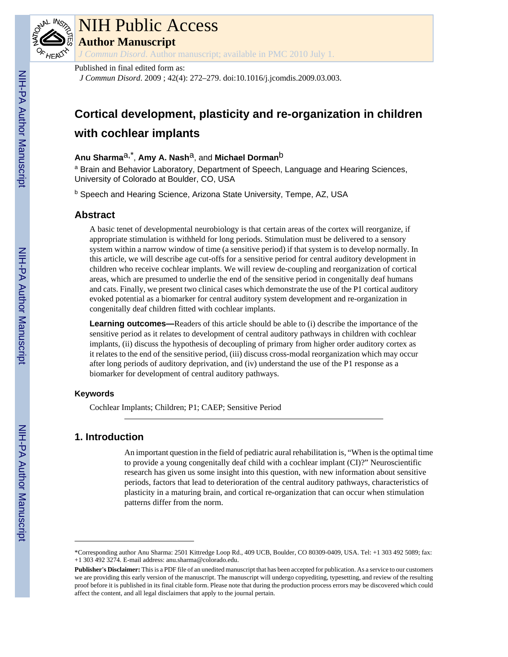

# NIH Public Access

**Author Manuscript**

*J Commun Disord*. Author manuscript; available in PMC 2010 July 1.

#### Published in final edited form as:

*J Commun Disord*. 2009 ; 42(4): 272–279. doi:10.1016/j.jcomdis.2009.03.003.

# **Cortical development, plasticity and re-organization in children with cochlear implants**

## **Anu Sharma**a,\* , **Amy A. Nash**a, and **Michael Dorman**b

<sup>a</sup> Brain and Behavior Laboratory, Department of Speech, Language and Hearing Sciences, University of Colorado at Boulder, CO, USA

**b Speech and Hearing Science, Arizona State University, Tempe, AZ, USA** 

### **Abstract**

A basic tenet of developmental neurobiology is that certain areas of the cortex will reorganize, if appropriate stimulation is withheld for long periods. Stimulation must be delivered to a sensory system within a narrow window of time (a sensitive period) if that system is to develop normally. In this article, we will describe age cut-offs for a sensitive period for central auditory development in children who receive cochlear implants. We will review de-coupling and reorganization of cortical areas, which are presumed to underlie the end of the sensitive period in congenitally deaf humans and cats. Finally, we present two clinical cases which demonstrate the use of the P1 cortical auditory evoked potential as a biomarker for central auditory system development and re-organization in congenitally deaf children fitted with cochlear implants.

**Learning outcomes—**Readers of this article should be able to (i) describe the importance of the sensitive period as it relates to development of central auditory pathways in children with cochlear implants, (ii) discuss the hypothesis of decoupling of primary from higher order auditory cortex as it relates to the end of the sensitive period, (iii) discuss cross-modal reorganization which may occur after long periods of auditory deprivation, and (iv) understand the use of the P1 response as a biomarker for development of central auditory pathways.

#### **Keywords**

Cochlear Implants; Children; P1; CAEP; Sensitive Period

# **1. Introduction**

An important question in the field of pediatric aural rehabilitation is, "When is the optimal time to provide a young congenitally deaf child with a cochlear implant (CI)?" Neuroscientific research has given us some insight into this question, with new information about sensitive periods, factors that lead to deterioration of the central auditory pathways, characteristics of plasticity in a maturing brain, and cortical re-organization that can occur when stimulation patterns differ from the norm.

<sup>\*</sup>Corresponding author Anu Sharma: 2501 Kittredge Loop Rd., 409 UCB, Boulder, CO 80309-0409, USA. Tel: +1 303 492 5089; fax: +1 303 492 3274. E-mail address: anu.sharma@colorado.edu.

**Publisher's Disclaimer:** This is a PDF file of an unedited manuscript that has been accepted for publication. As a service to our customers we are providing this early version of the manuscript. The manuscript will undergo copyediting, typesetting, and review of the resulting proof before it is published in its final citable form. Please note that during the production process errors may be discovered which could affect the content, and all legal disclaimers that apply to the journal pertain.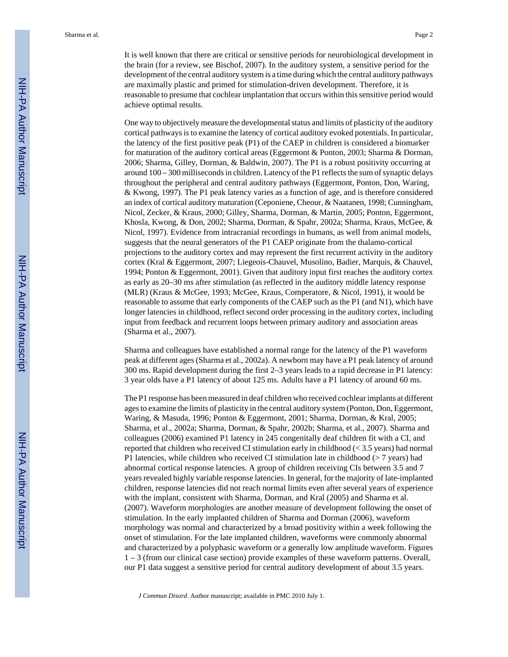It is well known that there are critical or sensitive periods for neurobiological development in the brain (for a review, see Bischof, 2007). In the auditory system, a sensitive period for the development of the central auditory system is a time during which the central auditory pathways are maximally plastic and primed for stimulation-driven development. Therefore, it is reasonable to presume that cochlear implantation that occurs within this sensitive period would achieve optimal results.

One way to objectively measure the developmental status and limits of plasticity of the auditory cortical pathways is to examine the latency of cortical auditory evoked potentials. In particular, the latency of the first positive peak (P1) of the CAEP in children is considered a biomarker for maturation of the auditory cortical areas (Eggermont & Ponton, 2003; Sharma & Dorman, 2006; Sharma, Gilley, Dorman, & Baldwin, 2007). The P1 is a robust positivity occurring at around 100 – 300 milliseconds in children. Latency of the P1 reflects the sum of synaptic delays throughout the peripheral and central auditory pathways (Eggermont, Ponton, Don, Waring, & Kwong, 1997). The P1 peak latency varies as a function of age, and is therefore considered an index of cortical auditory maturation (Ceponiene, Cheour, & Naatanen, 1998; Cunningham, Nicol, Zecker, & Kraus, 2000; Gilley, Sharma, Dorman, & Martin, 2005; Ponton, Eggermont, Khosla, Kwong, & Don, 2002; Sharma, Dorman, & Spahr, 2002a; Sharma, Kraus, McGee, & Nicol, 1997). Evidence from intracranial recordings in humans, as well from animal models, suggests that the neural generators of the P1 CAEP originate from the thalamo-cortical projections to the auditory cortex and may represent the first recurrent activity in the auditory cortex (Kral & Eggermont, 2007; Liegeois-Chauvel, Musolino, Badier, Marquis, & Chauvel, 1994; Ponton & Eggermont, 2001). Given that auditory input first reaches the auditory cortex as early as 20–30 ms after stimulation (as reflected in the auditory middle latency response (MLR) (Kraus & McGee, 1993; McGee, Kraus, Comperatore, & Nicol, 1991), it would be reasonable to assume that early components of the CAEP such as the P1 (and N1), which have longer latencies in childhood, reflect second order processing in the auditory cortex, including input from feedback and recurrent loops between primary auditory and association areas (Sharma et al., 2007).

Sharma and colleagues have established a normal range for the latency of the P1 waveform peak at different ages (Sharma et al., 2002a). A newborn may have a P1 peak latency of around 300 ms. Rapid development during the first 2–3 years leads to a rapid decrease in P1 latency: 3 year olds have a P1 latency of about 125 ms. Adults have a P1 latency of around 60 ms.

The P1 response has been measured in deaf children who received cochlear implants at different ages to examine the limits of plasticity in the central auditory system (Ponton, Don, Eggermont, Waring, & Masuda, 1996; Ponton & Eggermont, 2001; Sharma, Dorman, & Kral, 2005; Sharma, et al., 2002a; Sharma, Dorman, & Spahr, 2002b; Sharma, et al., 2007). Sharma and colleagues (2006) examined P1 latency in 245 congenitally deaf children fit with a CI, and reported that children who received CI stimulation early in childhood (< 3.5 years) had normal P1 latencies, while children who received CI stimulation late in childhood ( $>$  7 years) had abnormal cortical response latencies. A group of children receiving CIs between 3.5 and 7 years revealed highly variable response latencies. In general, for the majority of late-implanted children, response latencies did not reach normal limits even after several years of experience with the implant, consistent with Sharma, Dorman, and Kral (2005) and Sharma et al. (2007). Waveform morphologies are another measure of development following the onset of stimulation. In the early implanted children of Sharma and Dorman (2006), waveform morphology was normal and characterized by a broad positivity within a week following the onset of stimulation. For the late implanted children, waveforms were commonly abnormal and characterized by a polyphasic waveform or a generally low amplitude waveform. Figures 1 – 3 (from our clinical case section) provide examples of these waveform patterns. Overall, our P1 data suggest a sensitive period for central auditory development of about 3.5 years.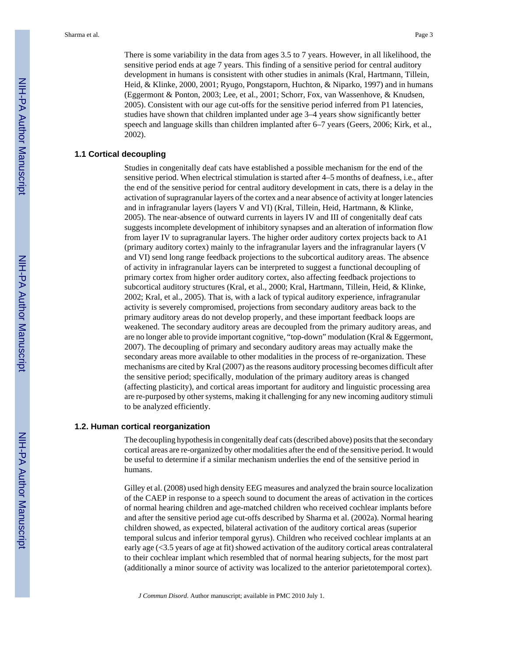There is some variability in the data from ages 3.5 to 7 years. However, in all likelihood, the sensitive period ends at age 7 years. This finding of a sensitive period for central auditory development in humans is consistent with other studies in animals (Kral, Hartmann, Tillein, Heid, & Klinke, 2000, 2001; Ryugo, Pongstaporn, Huchton, & Niparko, 1997) and in humans (Eggermont & Ponton, 2003; Lee, et al., 2001; Schorr, Fox, van Wassenhove, & Knudsen, 2005). Consistent with our age cut-offs for the sensitive period inferred from P1 latencies, studies have shown that children implanted under age 3–4 years show significantly better speech and language skills than children implanted after 6–7 years (Geers, 2006; Kirk, et al., 2002).

#### **1.1 Cortical decoupling**

Studies in congenitally deaf cats have established a possible mechanism for the end of the sensitive period. When electrical stimulation is started after 4–5 months of deafness, i.e., after the end of the sensitive period for central auditory development in cats, there is a delay in the activation of supragranular layers of the cortex and a near absence of activity at longer latencies and in infragranular layers (layers V and VI) (Kral, Tillein, Heid, Hartmann, & Klinke, 2005). The near-absence of outward currents in layers IV and III of congenitally deaf cats suggests incomplete development of inhibitory synapses and an alteration of information flow from layer IV to supragranular layers. The higher order auditory cortex projects back to A1 (primary auditory cortex) mainly to the infragranular layers and the infragranular layers (V and VI) send long range feedback projections to the subcortical auditory areas. The absence of activity in infragranular layers can be interpreted to suggest a functional decoupling of primary cortex from higher order auditory cortex, also affecting feedback projections to subcortical auditory structures (Kral, et al., 2000; Kral, Hartmann, Tillein, Heid, & Klinke, 2002; Kral, et al., 2005). That is, with a lack of typical auditory experience, infragranular activity is severely compromised, projections from secondary auditory areas back to the primary auditory areas do not develop properly, and these important feedback loops are weakened. The secondary auditory areas are decoupled from the primary auditory areas, and are no longer able to provide important cognitive, "top-down" modulation (Kral & Eggermont, 2007). The decoupling of primary and secondary auditory areas may actually make the secondary areas more available to other modalities in the process of re-organization. These mechanisms are cited by Kral (2007) as the reasons auditory processing becomes difficult after the sensitive period; specifically, modulation of the primary auditory areas is changed (affecting plasticity), and cortical areas important for auditory and linguistic processing area are re-purposed by other systems, making it challenging for any new incoming auditory stimuli to be analyzed efficiently.

#### **1.2. Human cortical reorganization**

The decoupling hypothesis in congenitally deaf cats (described above) posits that the secondary cortical areas are re-organized by other modalities after the end of the sensitive period. It would be useful to determine if a similar mechanism underlies the end of the sensitive period in humans.

Gilley et al. (2008) used high density EEG measures and analyzed the brain source localization of the CAEP in response to a speech sound to document the areas of activation in the cortices of normal hearing children and age-matched children who received cochlear implants before and after the sensitive period age cut-offs described by Sharma et al. (2002a). Normal hearing children showed, as expected, bilateral activation of the auditory cortical areas (superior temporal sulcus and inferior temporal gyrus). Children who received cochlear implants at an early age (<3.5 years of age at fit) showed activation of the auditory cortical areas contralateral to their cochlear implant which resembled that of normal hearing subjects, for the most part (additionally a minor source of activity was localized to the anterior parietotemporal cortex).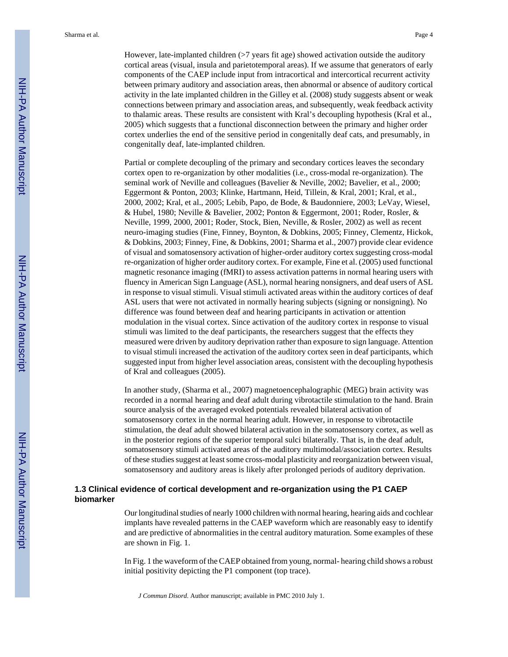Sharma et al. Page 4

However, late-implanted children (>7 years fit age) showed activation outside the auditory cortical areas (visual, insula and parietotemporal areas). If we assume that generators of early components of the CAEP include input from intracortical and intercortical recurrent activity between primary auditory and association areas, then abnormal or absence of auditory cortical activity in the late implanted children in the Gilley et al. (2008) study suggests absent or weak connections between primary and association areas, and subsequently, weak feedback activity to thalamic areas. These results are consistent with Kral's decoupling hypothesis (Kral et al., 2005) which suggests that a functional disconnection between the primary and higher order cortex underlies the end of the sensitive period in congenitally deaf cats, and presumably, in congenitally deaf, late-implanted children.

Partial or complete decoupling of the primary and secondary cortices leaves the secondary cortex open to re-organization by other modalities (i.e., cross-modal re-organization). The seminal work of Neville and colleagues (Bavelier & Neville, 2002; Bavelier, et al., 2000; Eggermont & Ponton, 2003; Klinke, Hartmann, Heid, Tillein, & Kral, 2001; Kral, et al., 2000, 2002; Kral, et al., 2005; Lebib, Papo, de Bode, & Baudonniere, 2003; LeVay, Wiesel, & Hubel, 1980; Neville & Bavelier, 2002; Ponton & Eggermont, 2001; Roder, Rosler, & Neville, 1999, 2000, 2001; Roder, Stock, Bien, Neville, & Rosler, 2002) as well as recent neuro-imaging studies (Fine, Finney, Boynton, & Dobkins, 2005; Finney, Clementz, Hickok, & Dobkins, 2003; Finney, Fine, & Dobkins, 2001; Sharma et al., 2007) provide clear evidence of visual and somatosensory activation of higher-order auditory cortex suggesting cross-modal re-organization of higher order auditory cortex. For example, Fine et al. (2005) used functional magnetic resonance imaging (fMRI) to assess activation patterns in normal hearing users with fluency in American Sign Language (ASL), normal hearing nonsigners, and deaf users of ASL in response to visual stimuli. Visual stimuli activated areas within the auditory cortices of deaf ASL users that were not activated in normally hearing subjects (signing or nonsigning). No difference was found between deaf and hearing participants in activation or attention modulation in the visual cortex. Since activation of the auditory cortex in response to visual stimuli was limited to the deaf participants, the researchers suggest that the effects they measured were driven by auditory deprivation rather than exposure to sign language. Attention to visual stimuli increased the activation of the auditory cortex seen in deaf participants, which suggested input from higher level association areas, consistent with the decoupling hypothesis of Kral and colleagues (2005).

In another study, (Sharma et al., 2007) magnetoencephalographic (MEG) brain activity was recorded in a normal hearing and deaf adult during vibrotactile stimulation to the hand. Brain source analysis of the averaged evoked potentials revealed bilateral activation of somatosensory cortex in the normal hearing adult. However, in response to vibrotactile stimulation, the deaf adult showed bilateral activation in the somatosensory cortex, as well as in the posterior regions of the superior temporal sulci bilaterally. That is, in the deaf adult, somatosensory stimuli activated areas of the auditory multimodal/association cortex. Results of these studies suggest at least some cross-modal plasticity and reorganization between visual, somatosensory and auditory areas is likely after prolonged periods of auditory deprivation.

#### **1.3 Clinical evidence of cortical development and re-organization using the P1 CAEP biomarker**

Our longitudinal studies of nearly 1000 children with normal hearing, hearing aids and cochlear implants have revealed patterns in the CAEP waveform which are reasonably easy to identify and are predictive of abnormalities in the central auditory maturation. Some examples of these are shown in Fig. 1.

In Fig. 1 the waveform of the CAEP obtained from young, normal- hearing child shows a robust initial positivity depicting the P1 component (top trace).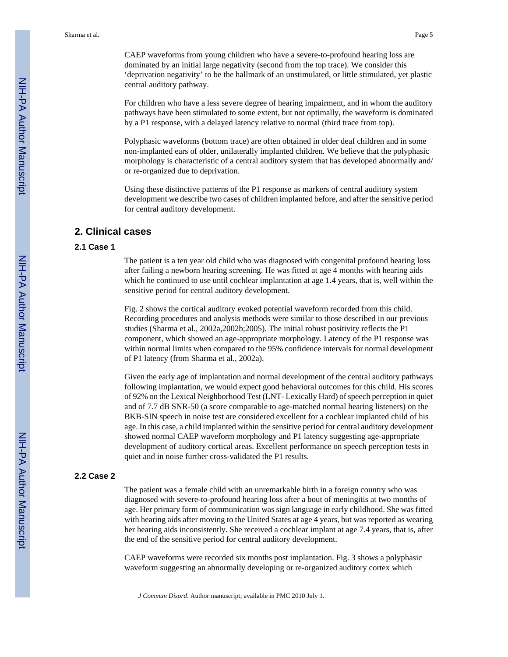CAEP waveforms from young children who have a severe-to-profound hearing loss are dominated by an initial large negativity (second from the top trace). We consider this 'deprivation negativity' to be the hallmark of an unstimulated, or little stimulated, yet plastic central auditory pathway.

For children who have a less severe degree of hearing impairment, and in whom the auditory pathways have been stimulated to some extent, but not optimally, the waveform is dominated by a P1 response, with a delayed latency relative to normal (third trace from top).

Polyphasic waveforms (bottom trace) are often obtained in older deaf children and in some non-implanted ears of older, unilaterally implanted children. We believe that the polyphasic morphology is characteristic of a central auditory system that has developed abnormally and/ or re-organized due to deprivation.

Using these distinctive patterns of the P1 response as markers of central auditory system development we describe two cases of children implanted before, and after the sensitive period for central auditory development.

#### **2. Clinical cases**

#### **2.1 Case 1**

The patient is a ten year old child who was diagnosed with congenital profound hearing loss after failing a newborn hearing screening. He was fitted at age 4 months with hearing aids which he continued to use until cochlear implantation at age 1.4 years, that is, well within the sensitive period for central auditory development.

Fig. 2 shows the cortical auditory evoked potential waveform recorded from this child. Recording procedures and analysis methods were similar to those described in our previous studies (Sharma et al., 2002a,2002b;2005). The initial robust positivity reflects the P1 component, which showed an age-appropriate morphology. Latency of the P1 response was within normal limits when compared to the 95% confidence intervals for normal development of P1 latency (from Sharma et al., 2002a).

Given the early age of implantation and normal development of the central auditory pathways following implantation, we would expect good behavioral outcomes for this child. His scores of 92% on the Lexical Neighborhood Test (LNT- Lexically Hard) of speech perception in quiet and of 7.7 dB SNR-50 (a score comparable to age-matched normal hearing listeners) on the BKB-SIN speech in noise test are considered excellent for a cochlear implanted child of his age. In this case, a child implanted within the sensitive period for central auditory development showed normal CAEP waveform morphology and P1 latency suggesting age-appropriate development of auditory cortical areas. Excellent performance on speech perception tests in quiet and in noise further cross-validated the P1 results.

#### **2.2 Case 2**

The patient was a female child with an unremarkable birth in a foreign country who was diagnosed with severe-to-profound hearing loss after a bout of meningitis at two months of age. Her primary form of communication was sign language in early childhood. She was fitted with hearing aids after moving to the United States at age 4 years, but was reported as wearing her hearing aids inconsistently. She received a cochlear implant at age 7.4 years, that is, after the end of the sensitive period for central auditory development.

CAEP waveforms were recorded six months post implantation. Fig. 3 shows a polyphasic waveform suggesting an abnormally developing or re-organized auditory cortex which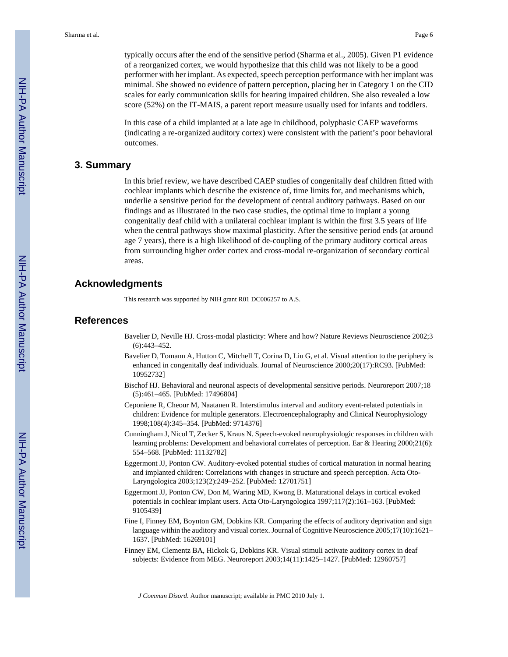typically occurs after the end of the sensitive period (Sharma et al., 2005). Given P1 evidence of a reorganized cortex, we would hypothesize that this child was not likely to be a good performer with her implant. As expected, speech perception performance with her implant was minimal. She showed no evidence of pattern perception, placing her in Category 1 on the CID scales for early communication skills for hearing impaired children. She also revealed a low score (52%) on the IT-MAIS, a parent report measure usually used for infants and toddlers.

In this case of a child implanted at a late age in childhood, polyphasic CAEP waveforms (indicating a re-organized auditory cortex) were consistent with the patient's poor behavioral outcomes.

#### **3. Summary**

In this brief review, we have described CAEP studies of congenitally deaf children fitted with cochlear implants which describe the existence of, time limits for, and mechanisms which, underlie a sensitive period for the development of central auditory pathways. Based on our findings and as illustrated in the two case studies, the optimal time to implant a young congenitally deaf child with a unilateral cochlear implant is within the first 3.5 years of life when the central pathways show maximal plasticity. After the sensitive period ends (at around age 7 years), there is a high likelihood of de-coupling of the primary auditory cortical areas from surrounding higher order cortex and cross-modal re-organization of secondary cortical areas.

#### **Acknowledgments**

This research was supported by NIH grant R01 DC006257 to A.S.

#### **References**

- Bavelier D, Neville HJ. Cross-modal plasticity: Where and how? Nature Reviews Neuroscience 2002;3 (6):443–452.
- Bavelier D, Tomann A, Hutton C, Mitchell T, Corina D, Liu G, et al. Visual attention to the periphery is enhanced in congenitally deaf individuals. Journal of Neuroscience 2000;20(17):RC93. [PubMed: 10952732]
- Bischof HJ. Behavioral and neuronal aspects of developmental sensitive periods. Neuroreport 2007;18 (5):461–465. [PubMed: 17496804]
- Ceponiene R, Cheour M, Naatanen R. Interstimulus interval and auditory event-related potentials in children: Evidence for multiple generators. Electroencephalography and Clinical Neurophysiology 1998;108(4):345–354. [PubMed: 9714376]
- Cunningham J, Nicol T, Zecker S, Kraus N. Speech-evoked neurophysiologic responses in children with learning problems: Development and behavioral correlates of perception. Ear & Hearing 2000;21(6): 554–568. [PubMed: 11132782]
- Eggermont JJ, Ponton CW. Auditory-evoked potential studies of cortical maturation in normal hearing and implanted children: Correlations with changes in structure and speech perception. Acta Oto-Laryngologica 2003;123(2):249–252. [PubMed: 12701751]
- Eggermont JJ, Ponton CW, Don M, Waring MD, Kwong B. Maturational delays in cortical evoked potentials in cochlear implant users. Acta Oto-Laryngologica 1997;117(2):161–163. [PubMed: 9105439]
- Fine I, Finney EM, Boynton GM, Dobkins KR. Comparing the effects of auditory deprivation and sign language within the auditory and visual cortex. Journal of Cognitive Neuroscience 2005;17(10):1621– 1637. [PubMed: 16269101]
- Finney EM, Clementz BA, Hickok G, Dobkins KR. Visual stimuli activate auditory cortex in deaf subjects: Evidence from MEG. Neuroreport 2003;14(11):1425–1427. [PubMed: 12960757]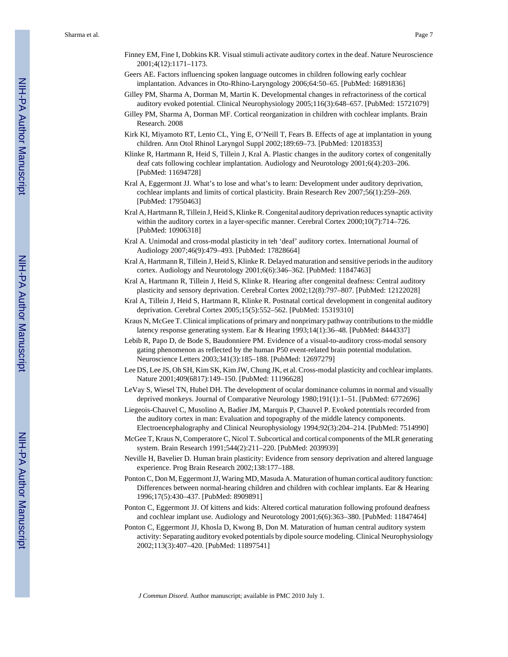Sharma et al. Page 7

- Finney EM, Fine I, Dobkins KR. Visual stimuli activate auditory cortex in the deaf. Nature Neuroscience 2001;4(12):1171–1173.
- Geers AE. Factors influencing spoken language outcomes in children following early cochlear implantation. Advances in Oto-Rhino-Laryngology 2006;64:50–65. [PubMed: 16891836]
- Gilley PM, Sharma A, Dorman M, Martin K. Developmental changes in refractoriness of the cortical auditory evoked potential. Clinical Neurophysiology 2005;116(3):648–657. [PubMed: 15721079]
- Gilley PM, Sharma A, Dorman MF. Cortical reorganization in children with cochlear implants. Brain Research. 2008
- Kirk KI, Miyamoto RT, Lento CL, Ying E, O'Neill T, Fears B. Effects of age at implantation in young children. Ann Otol Rhinol Laryngol Suppl 2002;189:69–73. [PubMed: 12018353]
- Klinke R, Hartmann R, Heid S, Tillein J, Kral A. Plastic changes in the auditory cortex of congenitally deaf cats following cochlear implantation. Audiology and Neurotology 2001;6(4):203–206. [PubMed: 11694728]
- Kral A, Eggermont JJ. What's to lose and what's to learn: Development under auditory deprivation, cochlear implants and limits of cortical plasticity. Brain Research Rev 2007;56(1):259–269. [PubMed: 17950463]
- Kral A, Hartmann R, Tillein J, Heid S, Klinke R. Congenital auditory deprivation reduces synaptic activity within the auditory cortex in a layer-specific manner. Cerebral Cortex 2000;10(7):714–726. [PubMed: 10906318]
- Kral A. Unimodal and cross-modal plasticity in teh 'deaf' auditory cortex. International Journal of Audiology 2007;46(9):479–493. [PubMed: 17828664]
- Kral A, Hartmann R, Tillein J, Heid S, Klinke R. Delayed maturation and sensitive periods in the auditory cortex. Audiology and Neurotology 2001;6(6):346–362. [PubMed: 11847463]
- Kral A, Hartmann R, Tillein J, Heid S, Klinke R. Hearing after congenital deafness: Central auditory plasticity and sensory deprivation. Cerebral Cortex 2002;12(8):797–807. [PubMed: 12122028]
- Kral A, Tillein J, Heid S, Hartmann R, Klinke R. Postnatal cortical development in congenital auditory deprivation. Cerebral Cortex 2005;15(5):552–562. [PubMed: 15319310]
- Kraus N, McGee T. Clinical implications of primary and nonprimary pathway contributions to the middle latency response generating system. Ear & Hearing 1993;14(1):36–48. [PubMed: 8444337]
- Lebib R, Papo D, de Bode S, Baudonniere PM. Evidence of a visual-to-auditory cross-modal sensory gating phenomenon as reflected by the human P50 event-related brain potential modulation. Neuroscience Letters 2003;341(3):185–188. [PubMed: 12697279]
- Lee DS, Lee JS, Oh SH, Kim SK, Kim JW, Chung JK, et al. Cross-modal plasticity and cochlear implants. Nature 2001;409(6817):149–150. [PubMed: 11196628]
- LeVay S, Wiesel TN, Hubel DH. The development of ocular dominance columns in normal and visually deprived monkeys. Journal of Comparative Neurology 1980;191(1):1–51. [PubMed: 6772696]
- Liegeois-Chauvel C, Musolino A, Badier JM, Marquis P, Chauvel P. Evoked potentials recorded from the auditory cortex in man: Evaluation and topography of the middle latency components. Electroencephalography and Clinical Neurophysiology 1994;92(3):204–214. [PubMed: 7514990]
- McGee T, Kraus N, Comperatore C, Nicol T. Subcortical and cortical components of the MLR generating system. Brain Research 1991;544(2):211–220. [PubMed: 2039939]
- Neville H, Bavelier D. Human brain plasticity: Evidence from sensory deprivation and altered language experience. Prog Brain Research 2002;138:177–188.
- Ponton C, Don M, Eggermont JJ, Waring MD, Masuda A. Maturation of human cortical auditory function: Differences between normal-hearing children and children with cochlear implants. Ear & Hearing 1996;17(5):430–437. [PubMed: 8909891]
- Ponton C, Eggermont JJ. Of kittens and kids: Altered cortical maturation following profound deafness and cochlear implant use. Audiology and Neurotology 2001;6(6):363–380. [PubMed: 11847464]
- Ponton C, Eggermont JJ, Khosla D, Kwong B, Don M. Maturation of human central auditory system activity: Separating auditory evoked potentials by dipole source modeling. Clinical Neurophysiology 2002;113(3):407–420. [PubMed: 11897541]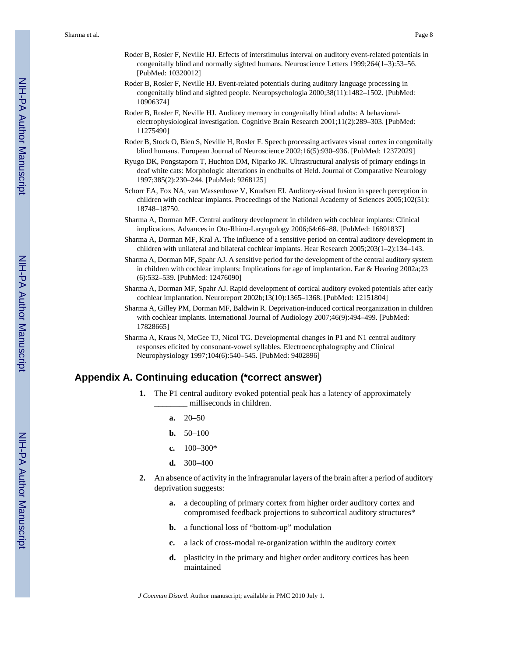- Roder B, Rosler F, Neville HJ. Effects of interstimulus interval on auditory event-related potentials in congenitally blind and normally sighted humans. Neuroscience Letters 1999;264(1–3):53–56. [PubMed: 10320012]
- Roder B, Rosler F, Neville HJ. Event-related potentials during auditory language processing in congenitally blind and sighted people. Neuropsychologia 2000;38(11):1482–1502. [PubMed: 10906374]
- Roder B, Rosler F, Neville HJ. Auditory memory in congenitally blind adults: A behavioralelectrophysiological investigation. Cognitive Brain Research 2001;11(2):289–303. [PubMed: 11275490]
- Roder B, Stock O, Bien S, Neville H, Rosler F. Speech processing activates visual cortex in congenitally blind humans. European Journal of Neuroscience 2002;16(5):930–936. [PubMed: 12372029]
- Ryugo DK, Pongstaporn T, Huchton DM, Niparko JK. Ultrastructural analysis of primary endings in deaf white cats: Morphologic alterations in endbulbs of Held. Journal of Comparative Neurology 1997;385(2):230–244. [PubMed: 9268125]
- Schorr EA, Fox NA, van Wassenhove V, Knudsen EI. Auditory-visual fusion in speech perception in children with cochlear implants. Proceedings of the National Academy of Sciences 2005;102(51): 18748–18750.
- Sharma A, Dorman MF. Central auditory development in children with cochlear implants: Clinical implications. Advances in Oto-Rhino-Laryngology 2006;64:66–88. [PubMed: 16891837]
- Sharma A, Dorman MF, Kral A. The influence of a sensitive period on central auditory development in children with unilateral and bilateral cochlear implants. Hear Research 2005;203(1–2):134–143.
- Sharma A, Dorman MF, Spahr AJ. A sensitive period for the development of the central auditory system in children with cochlear implants: Implications for age of implantation. Ear & Hearing 2002a;23 (6):532–539. [PubMed: 12476090]
- Sharma A, Dorman MF, Spahr AJ. Rapid development of cortical auditory evoked potentials after early cochlear implantation. Neuroreport 2002b;13(10):1365–1368. [PubMed: 12151804]
- Sharma A, Gilley PM, Dorman MF, Baldwin R. Deprivation-induced cortical reorganization in children with cochlear implants. International Journal of Audiology 2007;46(9):494–499. [PubMed: 17828665]
- Sharma A, Kraus N, McGee TJ, Nicol TG. Developmental changes in P1 and N1 central auditory responses elicited by consonant-vowel syllables. Electroencephalography and Clinical Neurophysiology 1997;104(6):540–545. [PubMed: 9402896]

#### **Appendix A. Continuing education (\*correct answer)**

- **1.** The P1 central auditory evoked potential peak has a latency of approximately milliseconds in children.
	- **a.** 20–50
	- **b.** 50–100
	- **c.** 100–300\*
	- **d.** 300–400
- **2.** An absence of activity in the infragranular layers of the brain after a period of auditory deprivation suggests:
	- **a.** a decoupling of primary cortex from higher order auditory cortex and compromised feedback projections to subcortical auditory structures\*
	- **b.** a functional loss of "bottom-up" modulation
	- **c.** a lack of cross-modal re-organization within the auditory cortex
	- **d.** plasticity in the primary and higher order auditory cortices has been maintained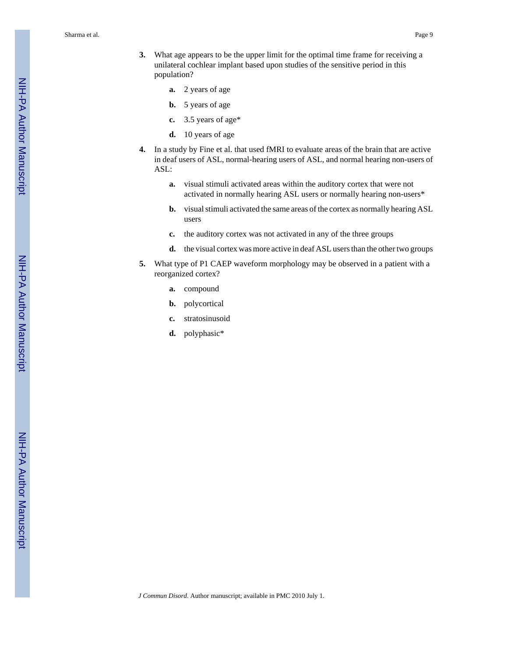Sharma et al. Page 9

- **3.** What age appears to be the upper limit for the optimal time frame for receiving a unilateral cochlear implant based upon studies of the sensitive period in this population?
	- **a.** 2 years of age
	- **b.** 5 years of age
	- **c.** 3.5 years of age\*
	- **d.** 10 years of age
- **4.** In a study by Fine et al. that used fMRI to evaluate areas of the brain that are active in deaf users of ASL, normal-hearing users of ASL, and normal hearing non-users of ASL:
	- **a.** visual stimuli activated areas within the auditory cortex that were not activated in normally hearing ASL users or normally hearing non-users\*
	- **b.** visual stimuli activated the same areas of the cortex as normally hearing ASL users
	- **c.** the auditory cortex was not activated in any of the three groups
	- **d.** the visual cortex was more active in deaf ASL users than the other two groups
- **5.** What type of P1 CAEP waveform morphology may be observed in a patient with a reorganized cortex?
	- **a.** compound
	- **b.** polycortical
	- **c.** stratosinusoid
	- **d.** polyphasic\*

NIH-PA Author Manuscript

NIH-PA Author Manuscript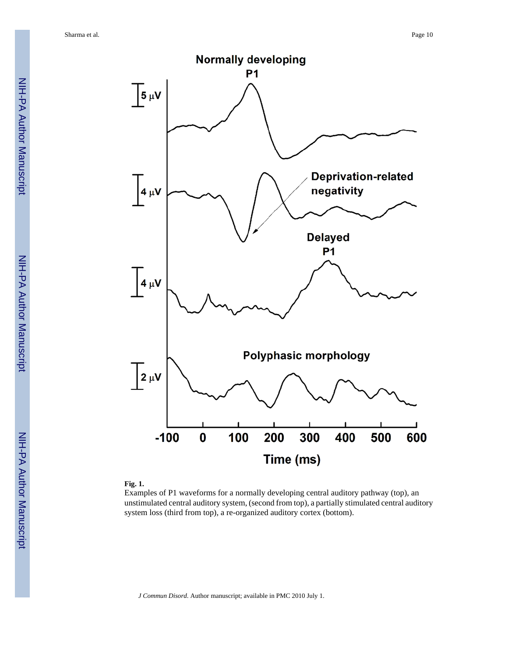

#### **Fig. 1.**

Examples of P1 waveforms for a normally developing central auditory pathway (top), an unstimulated central auditory system, (second from top), a partially stimulated central auditory system loss (third from top), a re-organized auditory cortex (bottom).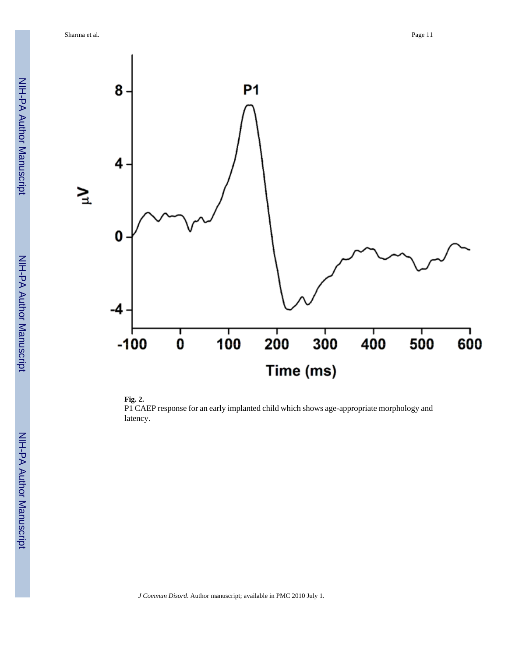Sharma et al. Page 11